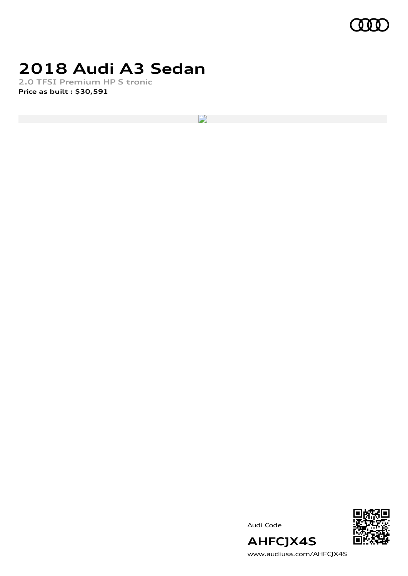

## **2018 Audi A3 Sedan**

**2.0 TFSI Premium HP S tronic Price as built [:](#page-10-0) \$30,591**

 $\overline{\phantom{a}}$ 

Audi Code



[www.audiusa.com/AHFCJX4S](https://www.audiusa.com/AHFCJX4S)

**AHFCJX4S**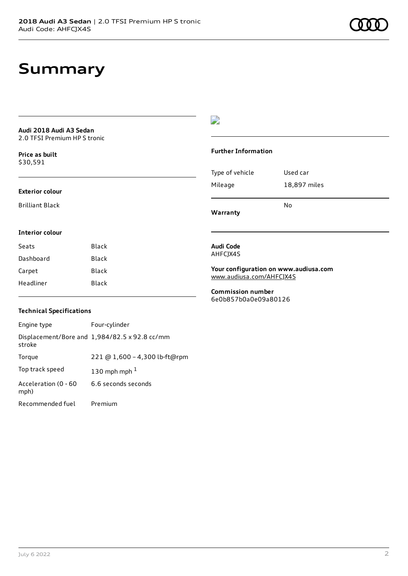### **Summary**

#### **Audi 2018 Audi A3 Sedan** 2.0 TFSI Premium HP S tronic

**Price as buil[t](#page-10-0)** \$30,591

#### **Exterior colour**

Brilliant Black

### $\overline{\phantom{a}}$

### **Further Information**

|                 | N٥           |
|-----------------|--------------|
| Mileage         | 18,897 miles |
| Type of vehicle | Used car     |

**Warranty**

### **Interior colour**

| Seats     | Black |
|-----------|-------|
| Dashboard | Black |
| Carpet    | Black |
| Headliner | Black |

#### **Audi Code** AHFCJX4S

**Your configuration on www.audiusa.com** [www.audiusa.com/AHFCJX4S](https://www.audiusa.com/AHFCJX4S)

**Commission number** 6e0b857b0a0e09a80126

### **Technical Specifications**

| Engine type                  | Four-cylinder                                 |
|------------------------------|-----------------------------------------------|
| stroke                       | Displacement/Bore and 1,984/82.5 x 92.8 cc/mm |
| Torque                       | 221 @ 1,600 - 4,300 lb-ft@rpm                 |
| Top track speed              | 130 mph mph $1$                               |
| Acceleration (0 - 60<br>mph) | 6.6 seconds seconds                           |
| Recommended fuel             | Premium                                       |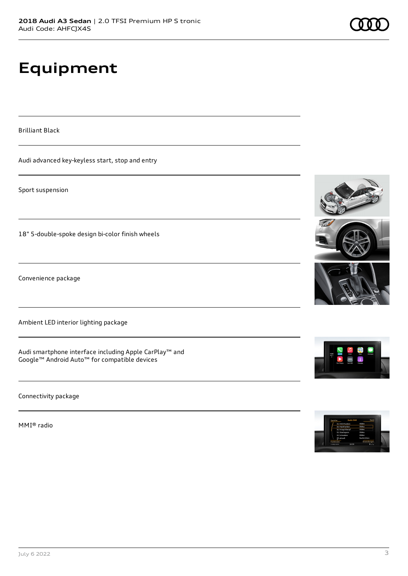# **Equipment**

Brilliant Black

Audi advanced key-keyless start, stop and entry

Sport suspension

18" 5-double-spoke design bi-color finish wheels

Convenience package

Ambient LED interior lighting package

Audi smartphone interface including Apple CarPlay™ and Google™ Android Auto™ for compatible devices

Connectivity package

MMI® radio









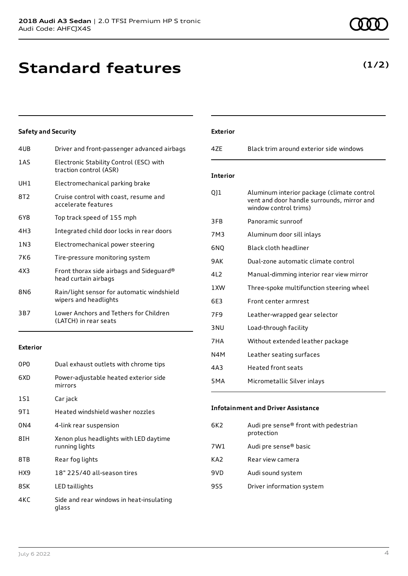## **Standard features**

### **Safety and Security**

| 4UB             | Driver and front-passenger advanced airbags                         |
|-----------------|---------------------------------------------------------------------|
| 1 A S           | Electronic Stability Control (ESC) with<br>traction control (ASR)   |
| UH1             | Electromechanical parking brake                                     |
| 8T2             | Cruise control with coast, resume and<br>accelerate features        |
| 6Y8             | Top track speed of 155 mph                                          |
| 4H3             | Integrated child door locks in rear doors                           |
| 1N <sub>3</sub> | Electromechanical power steering                                    |
| 7K6             | Tire-pressure monitoring system                                     |
| 4X3             | Front thorax side airbags and Sideguard®<br>head curtain airbags    |
| 8N6             | Rain/light sensor for automatic windshield<br>wipers and headlights |
| 3B7             | Lower Anchors and Tethers for Children<br>(LATCH) in rear seats     |

### **Exterior**

| 0P <sub>0</sub> | Dual exhaust outlets with chrome tips                    |
|-----------------|----------------------------------------------------------|
| 6XD             | Power-adjustable heated exterior side<br>mirrors         |
| 1S1             | Car jack                                                 |
| 9T 1            | Heated windshield washer nozzles                         |
| 0N4             | 4-link rear suspension                                   |
| 8TH             | Xenon plus headlights with LED daytime<br>running lights |
| 8TB             | Rear fog lights                                          |
| HX9             | 18" 225/40 all-season tires                              |
| 8SK             | LED taillights                                           |
| 4KC             | Side and rear windows in heat-insulating<br>glass        |

| <b>Exterior</b> |                                                                                                                   |
|-----------------|-------------------------------------------------------------------------------------------------------------------|
| 47F             | Black trim around exterior side windows                                                                           |
|                 |                                                                                                                   |
| <b>Interior</b> |                                                                                                                   |
| 011             | Aluminum interior package (climate control<br>vent and door handle surrounds, mirror and<br>window control trims) |
| 3FB             | Panoramic sunroof                                                                                                 |
| 7M3             | Aluminum door sill inlays                                                                                         |
| 6NO             | Black cloth headliner                                                                                             |
| 9AK             | Dual-zone automatic climate control                                                                               |
| 4L2             | Manual-dimming interior rear view mirror                                                                          |
| 1XW             | Three-spoke multifunction steering wheel                                                                          |
| 6E3             | Front center armrest                                                                                              |
| 7F <sub>9</sub> | Leather-wrapped gear selector                                                                                     |
| 3 <sub>NU</sub> | Load-through facility                                                                                             |
| 7HA             | Without extended leather package                                                                                  |
| N4M             | Leather seating surfaces                                                                                          |
| 4A3             | Heated front seats                                                                                                |
| 5MA             | Micrometallic Silver inlays                                                                                       |

### **Infotainment and Driver Assistance**

| 6K2 | Audi pre sense® front with pedestrian<br>protection |
|-----|-----------------------------------------------------|
| 7W1 | Audi pre sense® basic                               |
| KA2 | Rear view camera                                    |
| 9VD | Audi sound system                                   |
| 9S5 | Driver information system                           |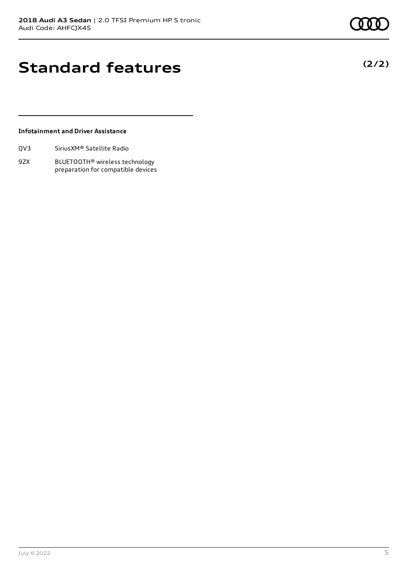**(2/2)**

## **Standard features**

### **Infotainment and Driver Assistance**

| Sirius XM <sup>®</sup> Satellite Radio<br>QV3 |
|-----------------------------------------------|
|-----------------------------------------------|

9ZX BLUETOOTH® wireless technology preparation for compatible devices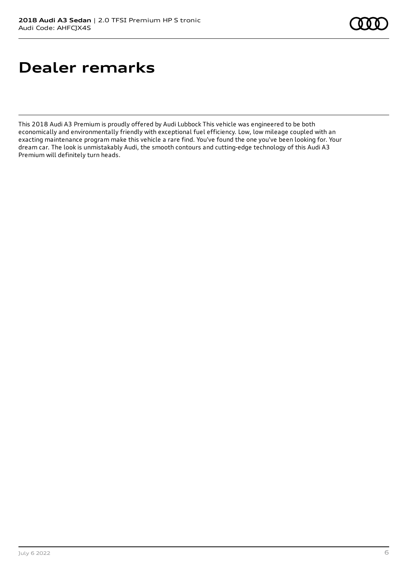# **Dealer remarks**

This 2018 Audi A3 Premium is proudly offered by Audi Lubbock This vehicle was engineered to be both economically and environmentally friendly with exceptional fuel efficiency. Low, low mileage coupled with an exacting maintenance program make this vehicle a rare find. You've found the one you've been looking for. Your dream car. The look is unmistakably Audi, the smooth contours and cutting-edge technology of this Audi A3 Premium will definitely turn heads.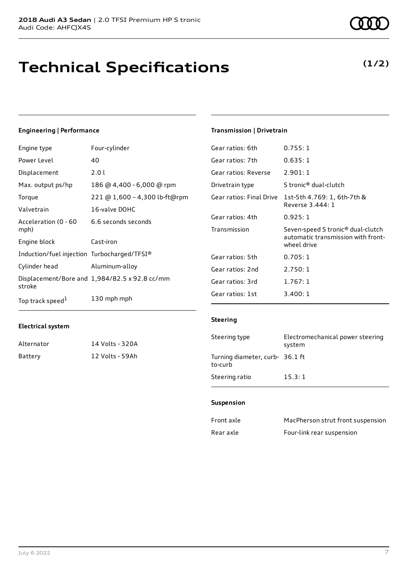## **Technical Specifications**

#### **Engineering | Performance**

| Four-cylinder                 | Gear ratios: 6th                                                                                                    | 0.755:1               |
|-------------------------------|---------------------------------------------------------------------------------------------------------------------|-----------------------|
| 40                            | Gear ratios: 7th                                                                                                    | 0.635:1               |
| 2.01                          | Gear ratios: Reverse                                                                                                | 2.901:1               |
| 186 @ 4,400 - 6,000 @ rpm     | Drivetrain type                                                                                                     | S tronic <sup>®</sup> |
| 221 @ 1,600 - 4,300 lb-ft@rpm | Gear ratios: Final Drive                                                                                            | $1$ st-5th 4          |
| 16-valve DOHC                 |                                                                                                                     | Reverse 3             |
|                               | Gear ratios: 4th                                                                                                    | 0.925:1               |
|                               | Transmission                                                                                                        | Seven-sp              |
| Cast-iron                     |                                                                                                                     | automati<br>wheel dri |
|                               | Gear ratios: 5th                                                                                                    | 0.705:1               |
| Aluminum-alloy                | Gear ratios: 2nd                                                                                                    | 2.750:1               |
|                               | Gear ratios: 3rd                                                                                                    | 1.767:1               |
| 130 mph mph                   | Gear ratios: 1st                                                                                                    | 3.400:1               |
|                               | 6.6 seconds seconds<br>Induction/fuel injection Turbocharged/TFSI®<br>Displacement/Bore and 1,984/82.5 x 92.8 cc/mm |                       |

#### **Electrical system**

| Alternator | 14 Volts - 320A |
|------------|-----------------|
| Battery    | 12 Volts - 59Ah |

### **Transmission | Drivetrain**

| Gear ratios: 6th     | 0.755:1                                                                                            |
|----------------------|----------------------------------------------------------------------------------------------------|
| Gear ratios: 7th     | 0.635:1                                                                                            |
| Gear ratios: Reverse | 2.901:1                                                                                            |
| Drivetrain type      | S tronic <sup>®</sup> dual-clutch                                                                  |
|                      | Gear ratios: Final Drive 1st-5th 4.769: 1, 6th-7th &<br>Reverse 3.444: 1                           |
| Gear ratios: 4th     | 0.925:1                                                                                            |
| Transmission         | Seven-speed S tronic <sup>®</sup> dual-clutch<br>automatic transmission with front-<br>wheel drive |
| Gear ratios: 5th     | 0.705:1                                                                                            |
| Gear ratios: 2nd     | 2.750:1                                                                                            |
| Gear ratios: 3rd     | 1.767:1                                                                                            |
| Gear ratios: 1st     | 3.400:1                                                                                            |

#### **Steering**

| Steering type                              | Electromechanical power steering<br>system |
|--------------------------------------------|--------------------------------------------|
| Turning diameter, curb- 36.1 ft<br>to-curb |                                            |
| Steering ratio                             | 15.3:1                                     |

#### **Suspension**

| Front axle | MacPherson strut front suspension |
|------------|-----------------------------------|
| Rear axle  | Four-link rear suspension         |

### **(1/2)**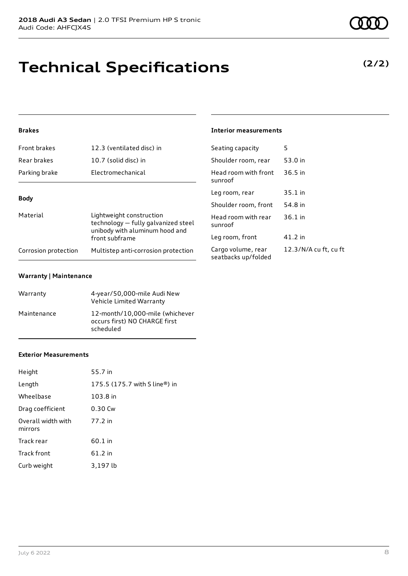# **Technical Specifications**

### **Brakes**

| <b>Front brakes</b>  | 12.3 (ventilated disc) in                                                                         | Seating capacity                      |
|----------------------|---------------------------------------------------------------------------------------------------|---------------------------------------|
| Rear brakes          | 10.7 (solid disc) in                                                                              | Shoulder room, re                     |
| Parking brake        | Electromechanical                                                                                 | Head room with f<br>sunroof           |
| <b>Body</b>          |                                                                                                   | Leg room, rear                        |
|                      |                                                                                                   | Shoulder room, fi                     |
| Material             | Lightweight construction<br>technology - fully galvanized steel<br>unibody with aluminum hood and | Head room with r<br>sunroof           |
|                      | front subframe                                                                                    | Leg room, front                       |
| Corrosion protection | Multistep anti-corrosion protection                                                               | Cargo volume, re<br>seatbacks un/fold |

### **Warranty | Maintenance**

| Warranty    | 4-year/50,000-mile Audi New<br>Vehicle Limited Warranty                       |
|-------------|-------------------------------------------------------------------------------|
| Maintenance | 12-month/10,000-mile (whichever<br>occurs first) NO CHARGE first<br>scheduled |

#### **Exterior Measurements**

| Height                        | 55.7 in                       |
|-------------------------------|-------------------------------|
| Length                        | 175.5 (175.7 with S line®) in |
| Wheelbase                     | 103.8 in                      |
| Drag coefficient              | 0.30 Cw                       |
| Overall width with<br>mirrors | 77.2 in                       |
| Track rear                    | 60.1 in                       |
| <b>Track front</b>            | 61.2 in                       |
| Curb weight                   | 3,197 lb                      |

### **Interior measurements**

| Seating capacity                          | 5                     |
|-------------------------------------------|-----------------------|
| Shoulder room, rear                       | 53.0 in               |
| Head room with front<br>sunroof           | $36.5$ in             |
| Leg room, rear                            | 35.1 in               |
| Shoulder room, front                      | 54.8 in               |
| Head room with rear<br>sunroof            | $36.1$ in             |
| Leg room, front                           | 41.2 in               |
| Cargo volume, rear<br>seatbacks up/folded | 12.3/N/A cu ft, cu ft |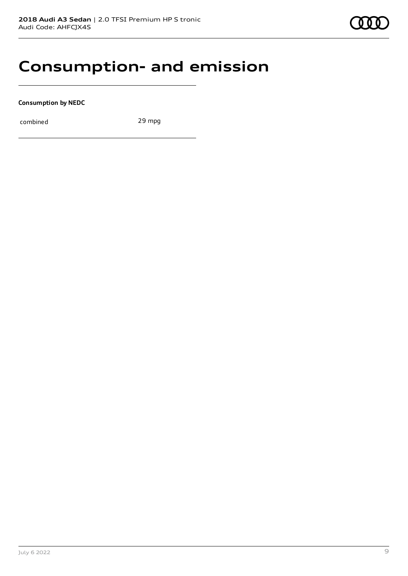### **Consumption- and emission**

**Consumption by NEDC**

combined 29 mpg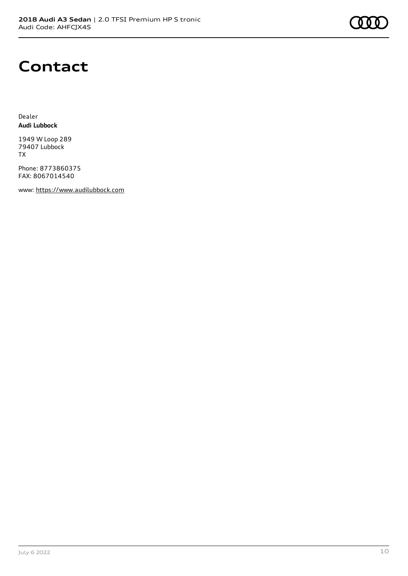### **Contact**

Dealer **Audi Lubbock**

1949 W Loop 289 79407 Lubbock TX

Phone: 8773860375 FAX: 8067014540

www: [https://www.audilubbock.com](https://www.audilubbock.com/)